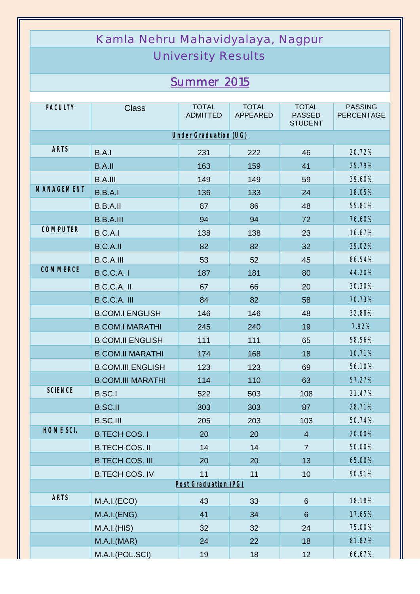| Kamla Nehru Mahavidyalaya, Nagpur |                          |                                 |                                 |                                                 |                                     |  |  |  |  |
|-----------------------------------|--------------------------|---------------------------------|---------------------------------|-------------------------------------------------|-------------------------------------|--|--|--|--|
| <b>University Results</b>         |                          |                                 |                                 |                                                 |                                     |  |  |  |  |
|                                   |                          |                                 |                                 |                                                 |                                     |  |  |  |  |
| <b>Summer 2015</b>                |                          |                                 |                                 |                                                 |                                     |  |  |  |  |
| <b>FACULTY</b>                    | <b>Class</b>             | <b>TOTAL</b><br><b>ADMITTED</b> | <b>TOTAL</b><br><b>APPEARED</b> | <b>TOTAL</b><br><b>PASSED</b><br><b>STUDENT</b> | <b>PASSING</b><br><b>PERCENTAGE</b> |  |  |  |  |
| Under Graduation (UG)             |                          |                                 |                                 |                                                 |                                     |  |  |  |  |
| <b>ARTS</b>                       | B.A.I                    | 231                             | 222                             | 46                                              | 20.72%                              |  |  |  |  |
|                                   | <b>B.A.II</b>            | 163                             | 159                             | 41                                              | 25.79%                              |  |  |  |  |
|                                   | <b>B.A.III</b>           | 149                             | 149                             | 59                                              | 39.60%                              |  |  |  |  |
| <b>MANAGEMENT</b>                 | B.B.A.I                  | 136                             | 133                             | 24                                              | 18.05%                              |  |  |  |  |
|                                   | B.B.A.II                 | 87                              | 86                              | 48                                              | 55.81%                              |  |  |  |  |
|                                   | <b>B.B.A.III</b>         | 94                              | 94                              | 72                                              | 76.60%                              |  |  |  |  |
| <b>COMPUTER</b>                   | B.C.A.I                  | 138                             | 138                             | 23                                              | 16.67%                              |  |  |  |  |
|                                   | <b>B.C.A.II</b>          | 82                              | 82                              | 32                                              | 39.02%                              |  |  |  |  |
|                                   | <b>B.C.A.III</b>         | 53                              | 52                              | 45                                              | 86.54%                              |  |  |  |  |
| <b>COMMERCE</b>                   | <b>B.C.C.A. I</b>        | 187                             | 181                             | 80                                              | 44.20%                              |  |  |  |  |
|                                   | B.C.C.A. II              | 67                              | 66                              | 20                                              | 30.30%                              |  |  |  |  |
|                                   | B.C.C.A. III             | 84                              | 82                              | 58                                              | 70.73%                              |  |  |  |  |
|                                   | <b>B.COM.I ENGLISH</b>   | 146                             | 146                             | 48                                              | 32.88%                              |  |  |  |  |
|                                   | <b>B.COM.I MARATHI</b>   | 245                             | 240                             | 19                                              | 7.92%                               |  |  |  |  |
|                                   | <b>B.COM.II ENGLISH</b>  | 111                             | 111                             | 65                                              | 58.56%                              |  |  |  |  |
|                                   | <b>B.COM.II MARATHI</b>  | 174                             | 168                             | 18                                              | 10.71%                              |  |  |  |  |
|                                   | <b>B.COM.III ENGLISH</b> | 123                             | 123                             | 69                                              | 56.10%                              |  |  |  |  |
|                                   | <b>B.COM.III MARATHI</b> | 114                             | 110                             | 63                                              | 57.27%                              |  |  |  |  |
| <b>SCIENCE</b>                    | <b>B.SC.I</b>            | 522                             | 503                             | 108                                             | 21.47%                              |  |  |  |  |
|                                   | <b>B.SC.II</b>           | 303                             | 303                             | 87                                              | 28.71%                              |  |  |  |  |
|                                   | <b>B.SC.III</b>          | 205                             | 203                             | 103                                             | 50.74%                              |  |  |  |  |
| HOME SCI.                         | <b>B.TECH COS. I</b>     | 20                              | 20                              | $\overline{4}$                                  | 20.00%                              |  |  |  |  |
|                                   | <b>B.TECH COS. II</b>    | 14                              | 14                              | $\overline{7}$                                  | 50.00%                              |  |  |  |  |
|                                   | <b>B.TECH COS. III</b>   | 20                              | 20                              | 13                                              | 65.00%                              |  |  |  |  |
|                                   | <b>B.TECH COS. IV</b>    | 11                              | 11                              | 10                                              | 90.91%                              |  |  |  |  |
| Post Graduation (PG)              |                          |                                 |                                 |                                                 |                                     |  |  |  |  |
| <b>ARTS</b>                       | M.A.I.(ECO)              | 43                              | 33                              | 6                                               | 18.18%                              |  |  |  |  |
|                                   | M.A.I.(ENG)              | 41                              | 34                              | $6\phantom{1}$                                  | 17.65%                              |  |  |  |  |
|                                   | M.A.I.(HIS)              | 32                              | 32                              | 24                                              | 75.00%                              |  |  |  |  |
|                                   | M.A.I.(MAR)              | 24                              | 22                              | 18                                              | 81.82%                              |  |  |  |  |
|                                   | M.A.I.(POL.SCI)          | 19                              | 18                              | 12                                              | 66.67%                              |  |  |  |  |

Ш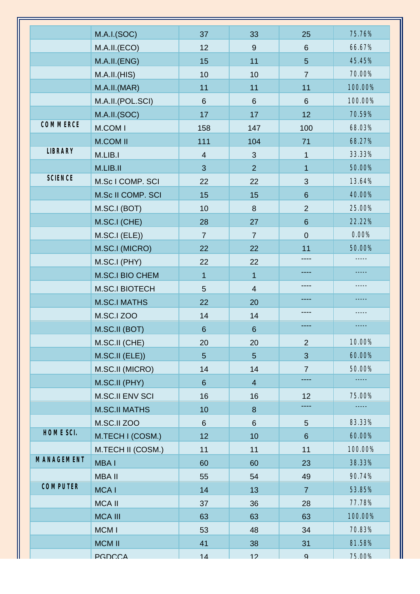|                   |                        |                |                         |                 | 75.76%  |
|-------------------|------------------------|----------------|-------------------------|-----------------|---------|
|                   | M.A.I.(SOC)            | 37             | 33                      | 25              | 66.67%  |
|                   | M.A.II.(ECO)           | 12             | $9\,$                   | $6\phantom{1}6$ |         |
|                   | M.A.II.(ENG)           | 15             | 11                      | 5               | 45.45%  |
|                   | M.A.I.I.(HIS)          | 10             | 10                      | $\overline{7}$  | 70.00%  |
|                   | M.A.II.(MAR)           | 11             | 11                      | 11              | 100.00% |
|                   | M.A.II.(POL.SCI)       | $6\phantom{1}$ | 6                       | 6               | 100.00% |
| COMMERCE          | M.A.II.(SOC)           | 17             | 17                      | 12              | 70.59%  |
|                   | M.COM I                | 158            | 147                     | 100             | 68.03%  |
|                   | <b>M.COM II</b>        | 111            | 104                     | 71              | 68.27%  |
| <b>LIBRARY</b>    | M.LIB.I                | $\overline{4}$ | $\mathbf{3}$            | $\mathbf{1}$    | 33.33%  |
|                   | M.LIB.II               | 3              | $\overline{2}$          | $\mathbf{1}$    | 50.00%  |
| <b>SCIENCE</b>    | M.Sc I COMP. SCI       | 22             | 22                      | 3               | 13.64%  |
|                   | M.Sc II COMP. SCI      | 15             | 15                      | $6\phantom{1}6$ | 40.00%  |
|                   | M.SC.I (BOT)           | 10             | $\boldsymbol{8}$        | $\overline{2}$  | 25.00%  |
|                   | M.SC.I (CHE)           | 28             | 27                      | $6\phantom{1}$  | 22.22%  |
|                   | M.SC.I (ELE))          | $\overline{7}$ | $\overline{7}$          | $\overline{0}$  | 0.00%   |
|                   | M.SC.I (MICRO)         | 22             | 22                      | 11              | 50.00%  |
|                   | M.SC.I (PHY)           | 22             | 22                      |                 |         |
|                   | <b>M.SC.I BIO CHEM</b> | $\mathbf{1}$   | $\mathbf{1}$            |                 |         |
|                   | <b>M.SC.I BIOTECH</b>  | 5              | $\overline{\mathbf{4}}$ | ----            |         |
|                   | <b>M.SC.I MATHS</b>    | 22             | 20                      | ----            |         |
|                   | M.SC.I ZOO             | 14             | 14                      |                 |         |
|                   | M.SC.II (BOT)          | $6\phantom{1}$ | $6\phantom{1}$          | ----            | -----   |
|                   | M.SC.II (CHE)          | 20             | 20                      | $\overline{2}$  | 10.00%  |
|                   | M.SC.II (ELE))         | $\overline{5}$ | $\overline{5}$          | 3               | 60.00%  |
|                   | M.SC.II (MICRO)        | 14             | 14                      | $\overline{7}$  | 50.00%  |
|                   | M.SC.II (PHY)          | $6\phantom{.}$ | $\overline{4}$          | ----            | -----   |
|                   | <b>M.SC.II ENV SCI</b> | 16             | 16                      | 12              | 75.00%  |
|                   | <b>M.SC.II MATHS</b>   | 10             | 8                       |                 | -----   |
|                   | M.SC.II ZOO            | $6\phantom{a}$ | 6                       | 5               | 83.33%  |
| HOME SCI.         | M.TECH I (COSM.)       | 12             | 10                      | $6\phantom{1}$  | 60.00%  |
|                   | M.TECH II (COSM.)      | 11             | 11                      | 11              | 100.00% |
| <b>MANAGEMENT</b> | <b>MBAI</b>            | 60             | 60                      | 23              | 38.33%  |
|                   | <b>MBA II</b>          | 55             | 54                      | 49              | 90.74%  |
| <b>COMPUTER</b>   |                        |                |                         |                 |         |
|                   | <b>MCAI</b>            | 14             | 13                      | $\overline{7}$  | 53.85%  |
|                   | <b>MCA II</b>          | 37             | 36                      | 28              | 77.78%  |
|                   | <b>MCA III</b>         | 63             | 63                      | 63              | 100.00% |
|                   | MCM I                  | 53             | 48                      | 34              | 70.83%  |
|                   | <b>MCM II</b>          | 41             | 38                      | 31              | 81.58%  |
|                   | <b>PGDCCA</b>          | 14             | 12                      | $\mathbf{Q}$    | 75 00%  |